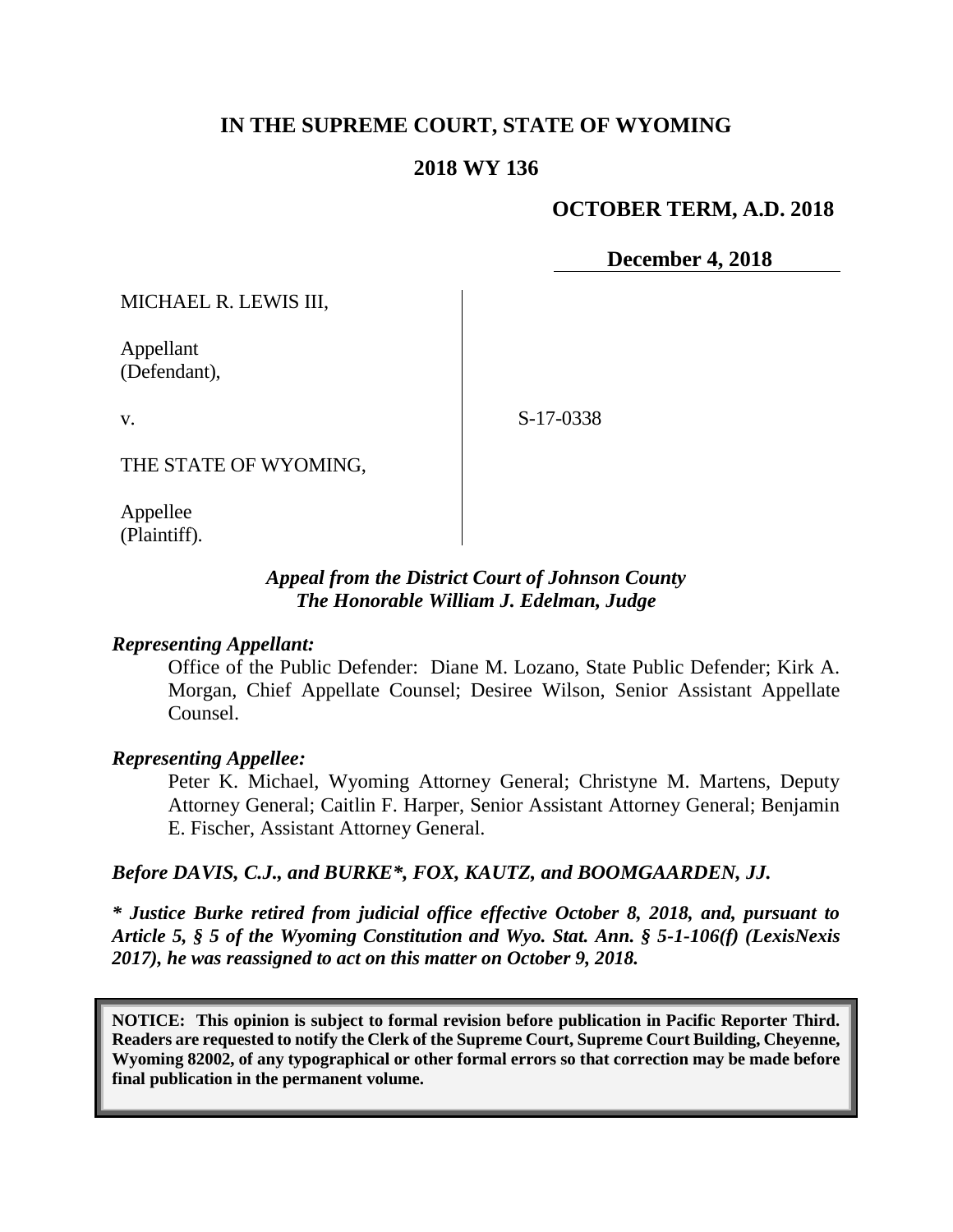# **IN THE SUPREME COURT, STATE OF WYOMING**

### **2018 WY 136**

### **OCTOBER TERM, A.D. 2018**

**December 4, 2018**

MICHAEL R. LEWIS III,

Appellant (Defendant),

v.

S-17-0338

THE STATE OF WYOMING,

Appellee (Plaintiff).

## *Appeal from the District Court of Johnson County The Honorable William J. Edelman, Judge*

#### *Representing Appellant:*

Office of the Public Defender: Diane M. Lozano, State Public Defender; Kirk A. Morgan, Chief Appellate Counsel; Desiree Wilson, Senior Assistant Appellate Counsel.

#### *Representing Appellee:*

Peter K. Michael, Wyoming Attorney General; Christyne M. Martens, Deputy Attorney General; Caitlin F. Harper, Senior Assistant Attorney General; Benjamin E. Fischer, Assistant Attorney General.

#### *Before DAVIS, C.J., and BURKE\*, FOX, KAUTZ, and BOOMGAARDEN, JJ.*

*\* Justice Burke retired from judicial office effective October 8, 2018, and, pursuant to Article 5, § 5 of the Wyoming Constitution and Wyo. Stat. Ann. § 5-1-106(f) (LexisNexis 2017), he was reassigned to act on this matter on October 9, 2018.*

**NOTICE: This opinion is subject to formal revision before publication in Pacific Reporter Third. Readers are requested to notify the Clerk of the Supreme Court, Supreme Court Building, Cheyenne, Wyoming 82002, of any typographical or other formal errors so that correction may be made before final publication in the permanent volume.**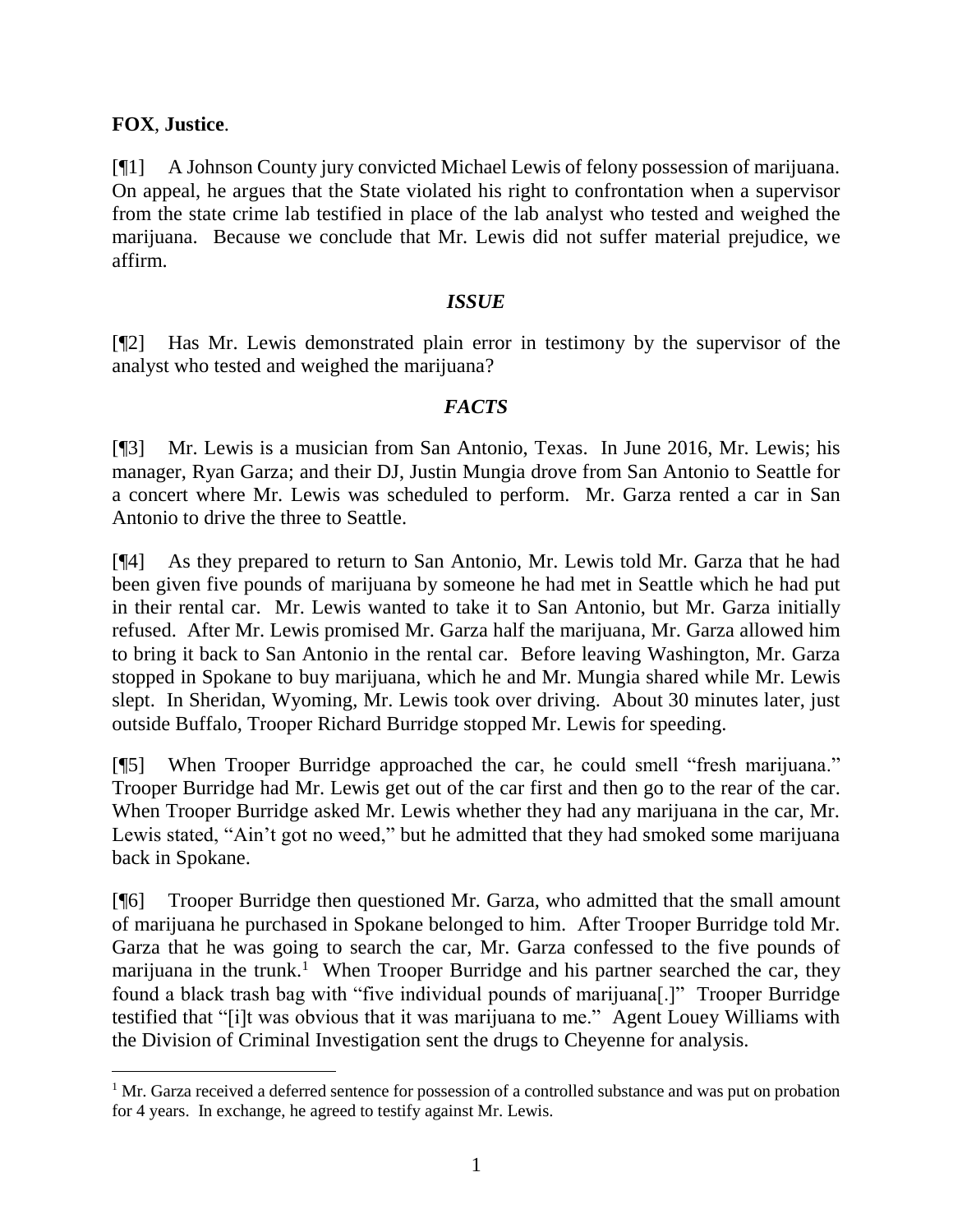## **FOX**, **Justice**.

[¶1] A Johnson County jury convicted Michael Lewis of felony possession of marijuana. On appeal, he argues that the State violated his right to confrontation when a supervisor from the state crime lab testified in place of the lab analyst who tested and weighed the marijuana. Because we conclude that Mr. Lewis did not suffer material prejudice, we affirm.

### *ISSUE*

[¶2] Has Mr. Lewis demonstrated plain error in testimony by the supervisor of the analyst who tested and weighed the marijuana?

## *FACTS*

[¶3] Mr. Lewis is a musician from San Antonio, Texas. In June 2016, Mr. Lewis; his manager, Ryan Garza; and their DJ, Justin Mungia drove from San Antonio to Seattle for a concert where Mr. Lewis was scheduled to perform. Mr. Garza rented a car in San Antonio to drive the three to Seattle.

[¶4] As they prepared to return to San Antonio, Mr. Lewis told Mr. Garza that he had been given five pounds of marijuana by someone he had met in Seattle which he had put in their rental car. Mr. Lewis wanted to take it to San Antonio, but Mr. Garza initially refused. After Mr. Lewis promised Mr. Garza half the marijuana, Mr. Garza allowed him to bring it back to San Antonio in the rental car. Before leaving Washington, Mr. Garza stopped in Spokane to buy marijuana, which he and Mr. Mungia shared while Mr. Lewis slept. In Sheridan, Wyoming, Mr. Lewis took over driving. About 30 minutes later, just outside Buffalo, Trooper Richard Burridge stopped Mr. Lewis for speeding.

[¶5] When Trooper Burridge approached the car, he could smell "fresh marijuana." Trooper Burridge had Mr. Lewis get out of the car first and then go to the rear of the car. When Trooper Burridge asked Mr. Lewis whether they had any marijuana in the car, Mr. Lewis stated, "Ain't got no weed," but he admitted that they had smoked some marijuana back in Spokane.

[¶6] Trooper Burridge then questioned Mr. Garza, who admitted that the small amount of marijuana he purchased in Spokane belonged to him. After Trooper Burridge told Mr. Garza that he was going to search the car, Mr. Garza confessed to the five pounds of marijuana in the trunk.<sup>1</sup> When Trooper Burridge and his partner searched the car, they found a black trash bag with "five individual pounds of marijuana[.]" Trooper Burridge testified that "[i]t was obvious that it was marijuana to me." Agent Louey Williams with the Division of Criminal Investigation sent the drugs to Cheyenne for analysis.

 $1$  Mr. Garza received a deferred sentence for possession of a controlled substance and was put on probation for 4 years. In exchange, he agreed to testify against Mr. Lewis.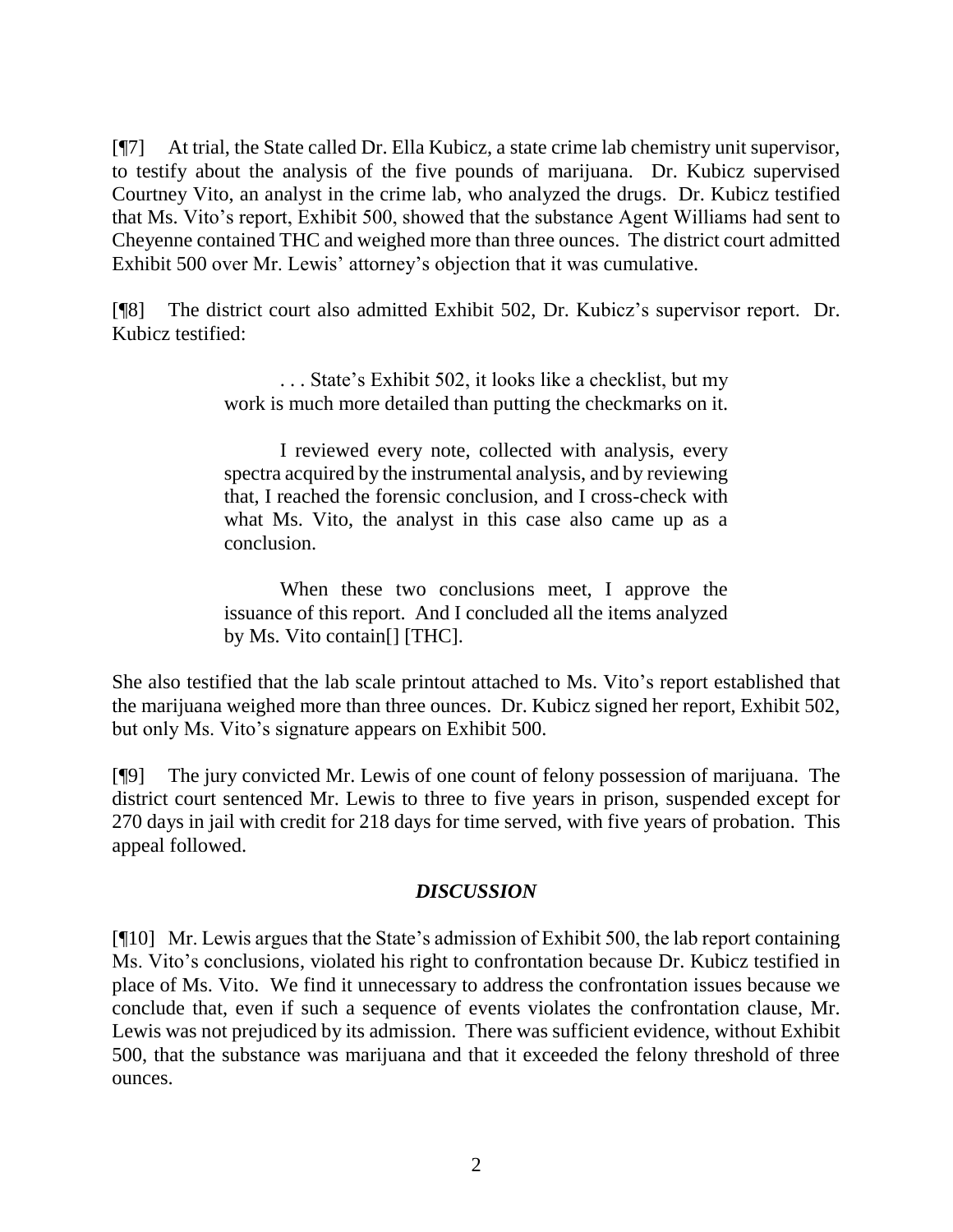[¶7] At trial, the State called Dr. Ella Kubicz, a state crime lab chemistry unit supervisor, to testify about the analysis of the five pounds of marijuana. Dr. Kubicz supervised Courtney Vito, an analyst in the crime lab, who analyzed the drugs. Dr. Kubicz testified that Ms. Vito's report, Exhibit 500, showed that the substance Agent Williams had sent to Cheyenne contained THC and weighed more than three ounces. The district court admitted Exhibit 500 over Mr. Lewis' attorney's objection that it was cumulative.

[¶8] The district court also admitted Exhibit 502, Dr. Kubicz's supervisor report. Dr. Kubicz testified:

> . . . State's Exhibit 502, it looks like a checklist, but my work is much more detailed than putting the checkmarks on it.

> I reviewed every note, collected with analysis, every spectra acquired by the instrumental analysis, and by reviewing that, I reached the forensic conclusion, and I cross-check with what Ms. Vito, the analyst in this case also came up as a conclusion.

> When these two conclusions meet, I approve the issuance of this report. And I concluded all the items analyzed by Ms. Vito contain[] [THC].

She also testified that the lab scale printout attached to Ms. Vito's report established that the marijuana weighed more than three ounces. Dr. Kubicz signed her report, Exhibit 502, but only Ms. Vito's signature appears on Exhibit 500.

[¶9] The jury convicted Mr. Lewis of one count of felony possession of marijuana. The district court sentenced Mr. Lewis to three to five years in prison, suspended except for 270 days in jail with credit for 218 days for time served, with five years of probation. This appeal followed.

## *DISCUSSION*

[¶10] Mr. Lewis argues that the State's admission of Exhibit 500, the lab report containing Ms. Vito's conclusions, violated his right to confrontation because Dr. Kubicz testified in place of Ms. Vito. We find it unnecessary to address the confrontation issues because we conclude that, even if such a sequence of events violates the confrontation clause, Mr. Lewis was not prejudiced by its admission. There was sufficient evidence, without Exhibit 500, that the substance was marijuana and that it exceeded the felony threshold of three ounces.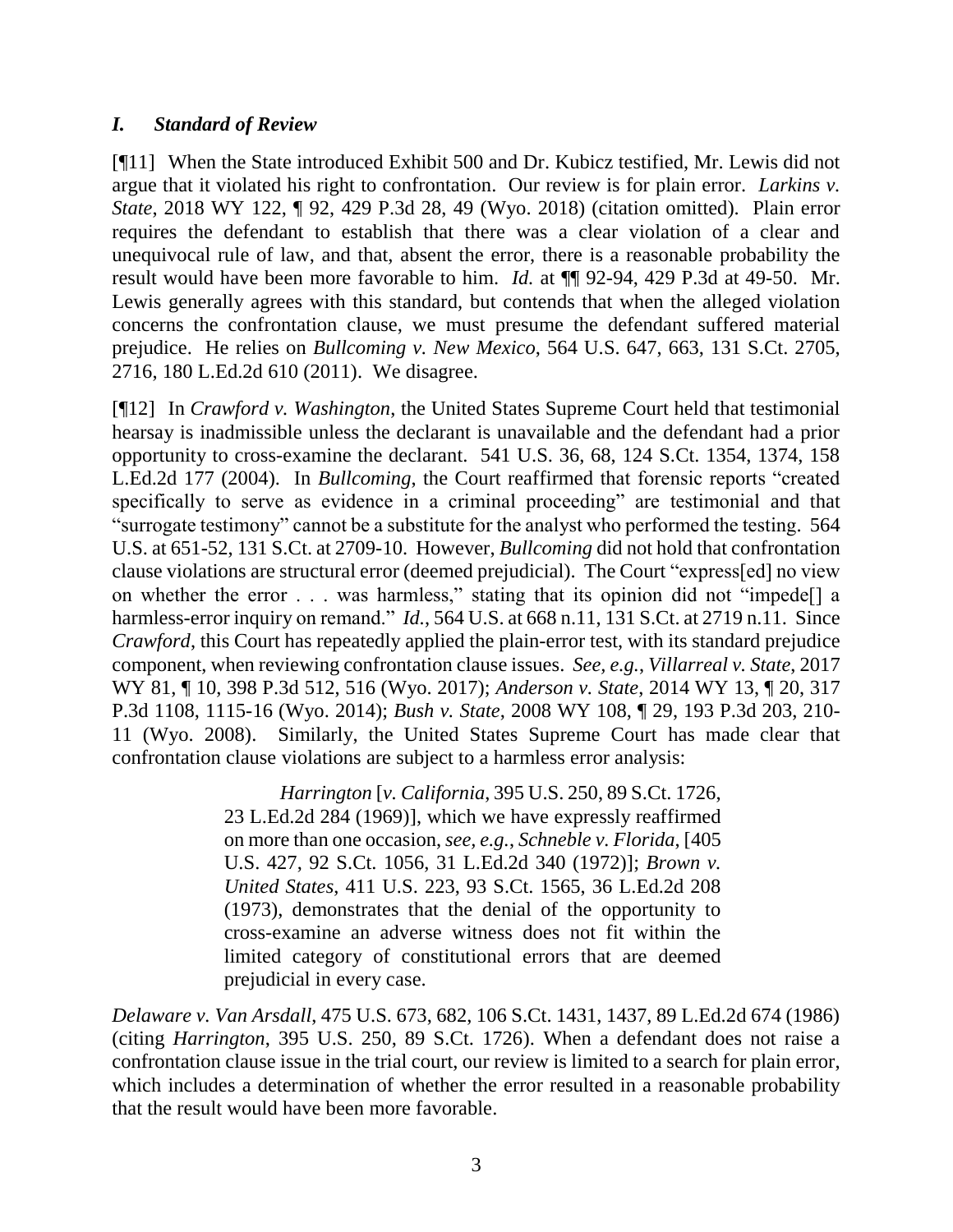## *I. Standard of Review*

[¶11] When the State introduced Exhibit 500 and Dr. Kubicz testified, Mr. Lewis did not argue that it violated his right to confrontation. Our review is for plain error. *Larkins v. State*, 2018 WY 122, ¶ 92, 429 P.3d 28, 49 (Wyo. 2018) (citation omitted). Plain error requires the defendant to establish that there was a clear violation of a clear and unequivocal rule of law, and that, absent the error, there is a reasonable probability the result would have been more favorable to him. *Id.* at ¶¶ 92-94, 429 P.3d at 49-50. Mr. Lewis generally agrees with this standard, but contends that when the alleged violation concerns the confrontation clause, we must presume the defendant suffered material prejudice. He relies on *Bullcoming v. New Mexico*, 564 U.S. 647, 663, 131 S.Ct. 2705, 2716, 180 L.Ed.2d 610 (2011). We disagree.

[¶12] In *Crawford v. Washington*, the United States Supreme Court held that testimonial hearsay is inadmissible unless the declarant is unavailable and the defendant had a prior opportunity to cross-examine the declarant. 541 U.S. 36, 68, 124 S.Ct. 1354, 1374, 158 L.Ed.2d 177 (2004). In *Bullcoming*, the Court reaffirmed that forensic reports "created specifically to serve as evidence in a criminal proceeding" are testimonial and that "surrogate testimony" cannot be a substitute for the analyst who performed the testing. 564 U.S. at 651-52, 131 S.Ct. at 2709-10. However, *Bullcoming* did not hold that confrontation clause violations are structural error (deemed prejudicial). The Court "express[ed] no view on whether the error . . . was harmless," stating that its opinion did not "impede[] a harmless-error inquiry on remand." *Id.*, 564 U.S. at 668 n.11, 131 S.Ct. at 2719 n.11. Since *Crawford*, this Court has repeatedly applied the plain-error test, with its standard prejudice component, when reviewing confrontation clause issues. *See, e.g.*, *Villarreal v. State*, 2017 WY 81, ¶ 10, 398 P.3d 512, 516 (Wyo. 2017); *Anderson v. State*, 2014 WY 13, ¶ 20, 317 P.3d 1108, 1115-16 (Wyo. 2014); *Bush v. State*, 2008 WY 108, ¶ 29, 193 P.3d 203, 210- 11 (Wyo. 2008). Similarly, the United States Supreme Court has made clear that confrontation clause violations are subject to a harmless error analysis:

> *Harrington* [*v. California*, 395 U.S. 250, 89 S.Ct. 1726, 23 L.Ed.2d 284 (1969)], which we have expressly reaffirmed on more than one occasion, *see, e.g.*, *Schneble v. Florida*, [405 U.S. 427, 92 S.Ct. 1056, 31 L.Ed.2d 340 (1972)]; *Brown v. United States*, 411 U.S. 223, 93 S.Ct. 1565, 36 L.Ed.2d 208 (1973), demonstrates that the denial of the opportunity to cross-examine an adverse witness does not fit within the limited category of constitutional errors that are deemed prejudicial in every case.

*Delaware v. Van Arsdall*, 475 U.S. 673, 682, 106 S.Ct. 1431, 1437, 89 L.Ed.2d 674 (1986) (citing *Harrington*, 395 U.S. 250, 89 S.Ct. 1726). When a defendant does not raise a confrontation clause issue in the trial court, our review is limited to a search for plain error, which includes a determination of whether the error resulted in a reasonable probability that the result would have been more favorable.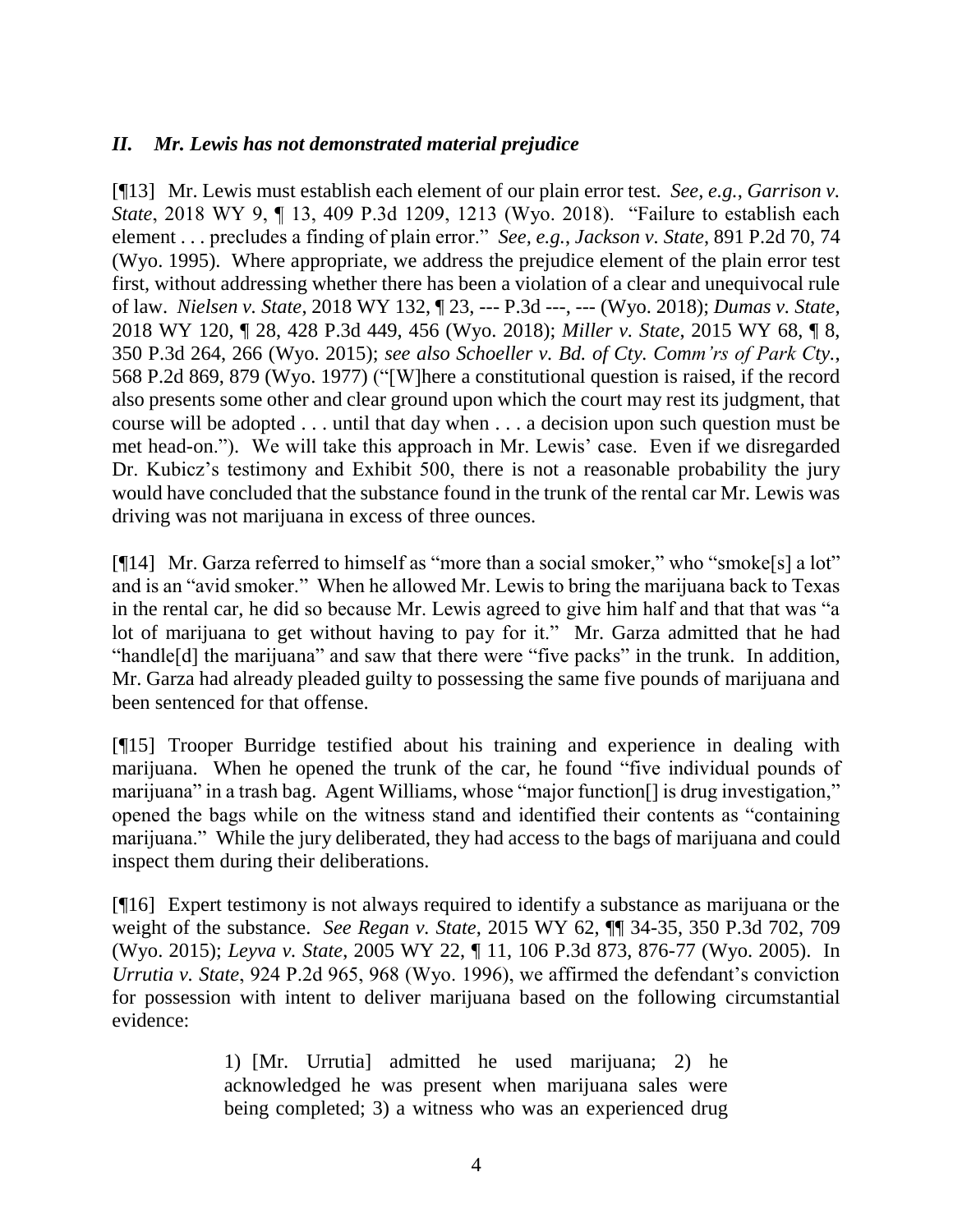# *II. Mr. Lewis has not demonstrated material prejudice*

[¶13] Mr. Lewis must establish each element of our plain error test. *See, e.g.*, *Garrison v. State*, 2018 WY 9, ¶ 13, 409 P.3d 1209, 1213 (Wyo. 2018). "Failure to establish each element . . . precludes a finding of plain error." *See, e.g.*, *Jackson v. State*, 891 P.2d 70, 74 (Wyo. 1995). Where appropriate, we address the prejudice element of the plain error test first, without addressing whether there has been a violation of a clear and unequivocal rule of law. *Nielsen v. State*, 2018 WY 132, ¶ 23, --- P.3d ---, --- (Wyo. 2018); *Dumas v. State*, 2018 WY 120, ¶ 28, 428 P.3d 449, 456 (Wyo. 2018); *Miller v. State*, 2015 WY 68, ¶ 8, 350 P.3d 264, 266 (Wyo. 2015); *see also Schoeller v. Bd. of Cty. Comm'rs of Park Cty.*, 568 P.2d 869, 879 (Wyo. 1977) ("[W]here a constitutional question is raised, if the record also presents some other and clear ground upon which the court may rest its judgment, that course will be adopted . . . until that day when . . . a decision upon such question must be met head-on."). We will take this approach in Mr. Lewis' case. Even if we disregarded Dr. Kubicz's testimony and Exhibit 500, there is not a reasonable probability the jury would have concluded that the substance found in the trunk of the rental car Mr. Lewis was driving was not marijuana in excess of three ounces.

[¶14] Mr. Garza referred to himself as "more than a social smoker," who "smoke[s] a lot" and is an "avid smoker." When he allowed Mr. Lewis to bring the marijuana back to Texas in the rental car, he did so because Mr. Lewis agreed to give him half and that that was "a lot of marijuana to get without having to pay for it." Mr. Garza admitted that he had "handle[d] the marijuana" and saw that there were "five packs" in the trunk. In addition, Mr. Garza had already pleaded guilty to possessing the same five pounds of marijuana and been sentenced for that offense.

[¶15] Trooper Burridge testified about his training and experience in dealing with marijuana. When he opened the trunk of the car, he found "five individual pounds of marijuana" in a trash bag. Agent Williams, whose "major function[] is drug investigation," opened the bags while on the witness stand and identified their contents as "containing marijuana." While the jury deliberated, they had access to the bags of marijuana and could inspect them during their deliberations.

[¶16] Expert testimony is not always required to identify a substance as marijuana or the weight of the substance. *See Regan v. State*, 2015 WY 62, ¶¶ 34-35, 350 P.3d 702, 709 (Wyo. 2015); *Leyva v. State*, 2005 WY 22, ¶ 11, 106 P.3d 873, 876-77 (Wyo. 2005). In *Urrutia v. State*, 924 P.2d 965, 968 (Wyo. 1996), we affirmed the defendant's conviction for possession with intent to deliver marijuana based on the following circumstantial evidence:

> 1) [Mr. Urrutia] admitted he used marijuana; 2) he acknowledged he was present when marijuana sales were being completed; 3) a witness who was an experienced drug